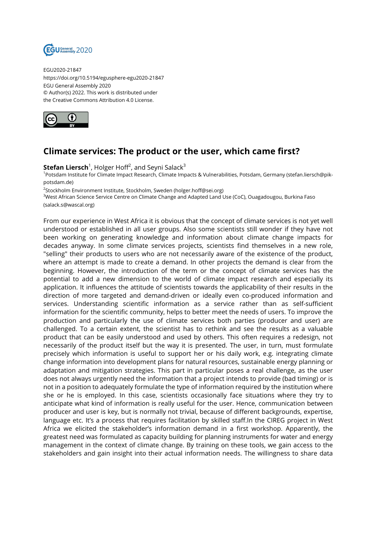

EGU2020-21847 https://doi.org/10.5194/egusphere-egu2020-21847 EGU General Assembly 2020 © Author(s) 2022. This work is distributed under the Creative Commons Attribution 4.0 License.



## **Climate services: The product or the user, which came first?**

 $\mathsf{Stefan} \ \mathsf{Liersch}^1$ , Holger Hoff<sup>2</sup>, and Seyni Salack $^3$ 

1 Potsdam Institute for Climate Impact Research, Climate Impacts & Vulnerabilities, Potsdam, Germany (stefan.liersch@pikpotsdam.de)

<sup>2</sup>Stockholm Environment Institute, Stockholm, Sweden (holger.hoff@sei.org)

<sup>3</sup>West African Science Service Centre on Climate Change and Adapted Land Use (CoC), Ouagadougou, Burkina Faso (salack.s@wascal.org)

From our experience in West Africa it is obvious that the concept of climate services is not yet well understood or established in all user groups. Also some scientists still wonder if they have not been working on generating knowledge and information about climate change impacts for decades anyway. In some climate services projects, scientists find themselves in a new role, "selling" their products to users who are not necessarily aware of the existence of the product, where an attempt is made to create a demand. In other projects the demand is clear from the beginning. However, the introduction of the term or the concept of climate services has the potential to add a new dimension to the world of climate impact research and especially its application. It influences the attitude of scientists towards the applicability of their results in the direction of more targeted and demand-driven or ideally even co-produced information and services. Understanding scientific information as a service rather than as self-sufficient information for the scientific community, helps to better meet the needs of users. To improve the production and particularly the use of climate services both parties (producer and user) are challenged. To a certain extent, the scientist has to rethink and see the results as a valuable product that can be easily understood and used by others. This often requires a redesign, not necessarily of the product itself but the way it is presented. The user, in turn, must formulate precisely which information is useful to support her or his daily work, e.g. integrating climate change information into development plans for natural resources, sustainable energy planning or adaptation and mitigation strategies. This part in particular poses a real challenge, as the user does not always urgently need the information that a project intends to provide (bad timing) or is not in a position to adequately formulate the type of information required by the institution where she or he is employed. In this case, scientists occasionally face situations where they try to anticipate what kind of information is really useful for the user. Hence, communication between producer and user is key, but is normally not trivial, because of different backgrounds, expertise, language etc. It's a process that requires facilitation by skilled staff.In the CIREG project in West Africa we elicited the stakeholder's information demand in a first workshop. Apparently, the greatest need was formulated as capacity building for planning instruments for water and energy management in the context of climate change. By training on these tools, we gain access to the stakeholders and gain insight into their actual information needs. The willingness to share data